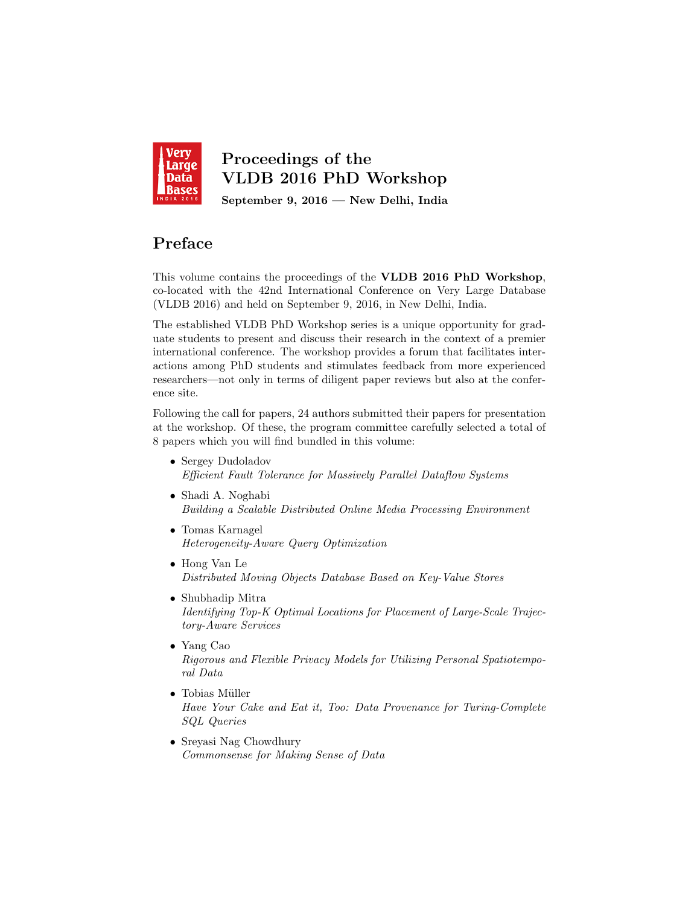

## Proceedings of the VLDB 2016 PhD Workshop September 9, 2016 — New Delhi, India

## Preface

This volume contains the proceedings of the VLDB 2016 PhD Workshop, co-located with the 42nd International Conference on Very Large Database (VLDB 2016) and held on September 9, 2016, in New Delhi, India.

The established VLDB PhD Workshop series is a unique opportunity for graduate students to present and discuss their research in the context of a premier international conference. The workshop provides a forum that facilitates interactions among PhD students and stimulates feedback from more experienced researchers—not only in terms of diligent paper reviews but also at the conference site.

Following the call for papers, 24 authors submitted their papers for presentation at the workshop. Of these, the program committee carefully selected a total of 8 papers which you will find bundled in this volume:

- Sergey Dudoladov Efficient Fault Tolerance for Massively Parallel Dataflow Systems
- Shadi A. Noghabi Building a Scalable Distributed Online Media Processing Environment
- Tomas Karnagel Heterogeneity-Aware Query Optimization
- Hong Van Le Distributed Moving Objects Database Based on Key-Value Stores
- Shubhadip Mitra Identifying Top-K Optimal Locations for Placement of Large-Scale Trajectory-Aware Services
- Yang Cao Rigorous and Flexible Privacy Models for Utilizing Personal Spatiotemporal Data
- Tobias Müller Have Your Cake and Eat it, Too: Data Provenance for Turing-Complete SQL Queries
- Sreyasi Nag Chowdhury Commonsense for Making Sense of Data